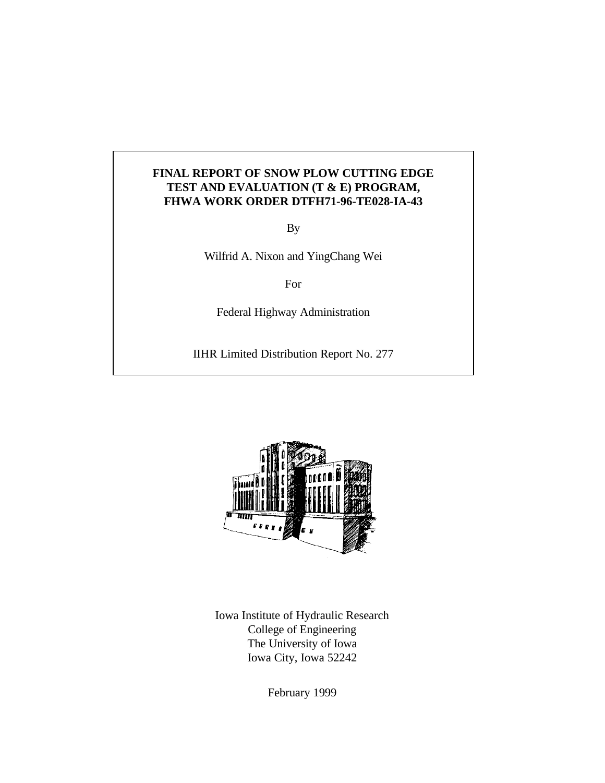# **FINAL REPORT OF SNOW PLOW CUTTING EDGE TEST AND EVALUATION (T & E) PROGRAM, FHWA WORK ORDER DTFH71-96-TE028-IA-43**

By

Wilfrid A. Nixon and YingChang Wei

For

Federal Highway Administration

IIHR Limited Distribution Report No. 277



Iowa Institute of Hydraulic Research College of Engineering The University of Iowa Iowa City, Iowa 52242

February 1999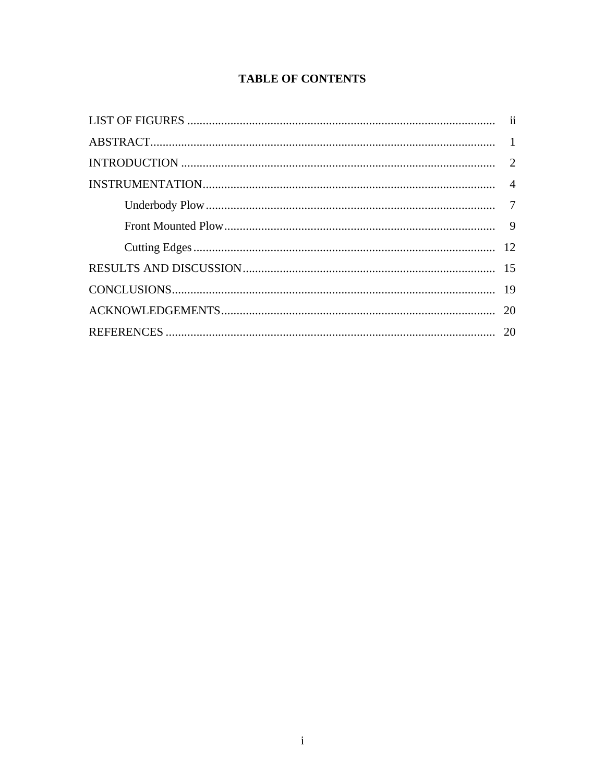# **TABLE OF CONTENTS**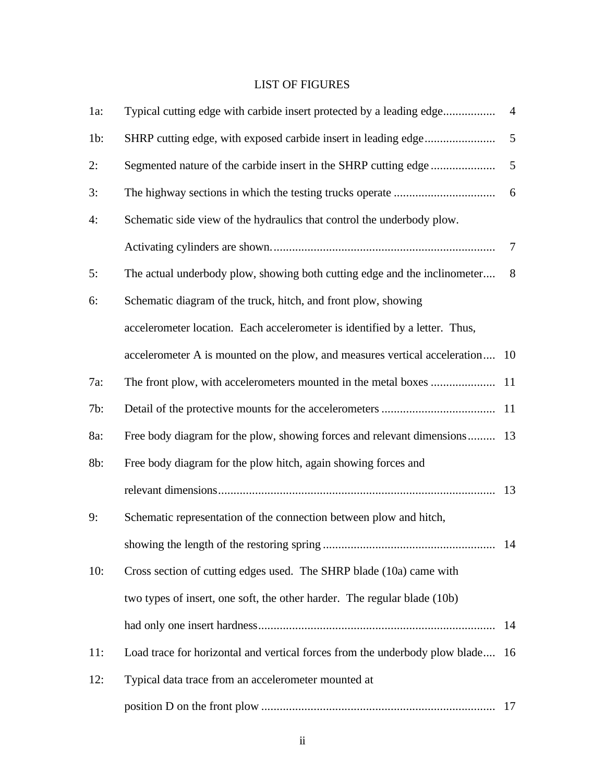# LIST OF FIGURES

| $1a$ : | Typical cutting edge with carbide insert protected by a leading edge           | $\overline{4}$ |
|--------|--------------------------------------------------------------------------------|----------------|
| $1b$ : | SHRP cutting edge, with exposed carbide insert in leading edge                 | 5              |
| 2:     | Segmented nature of the carbide insert in the SHRP cutting edge                | 5              |
| 3:     |                                                                                | 6              |
| 4:     | Schematic side view of the hydraulics that control the underbody plow.         |                |
|        |                                                                                | 7              |
| 5:     | The actual underbody plow, showing both cutting edge and the inclinometer      | 8              |
| 6:     | Schematic diagram of the truck, hitch, and front plow, showing                 |                |
|        | accelerometer location. Each accelerometer is identified by a letter. Thus,    |                |
|        | accelerometer A is mounted on the plow, and measures vertical acceleration 10  |                |
| 7a:    |                                                                                |                |
| 7b:    |                                                                                |                |
| 8a:    | Free body diagram for the plow, showing forces and relevant dimensions 13      |                |
| 8b:    | Free body diagram for the plow hitch, again showing forces and                 |                |
|        |                                                                                | 13             |
| 9:     | Schematic representation of the connection between plow and hitch,             |                |
|        |                                                                                |                |
| 10:    | Cross section of cutting edges used. The SHRP blade (10a) came with            |                |
|        | two types of insert, one soft, the other harder. The regular blade (10b)       |                |
|        |                                                                                | 14             |
| 11:    | Load trace for horizontal and vertical forces from the underbody plow blade 16 |                |
| 12:    | Typical data trace from an accelerometer mounted at                            |                |
|        |                                                                                | 17             |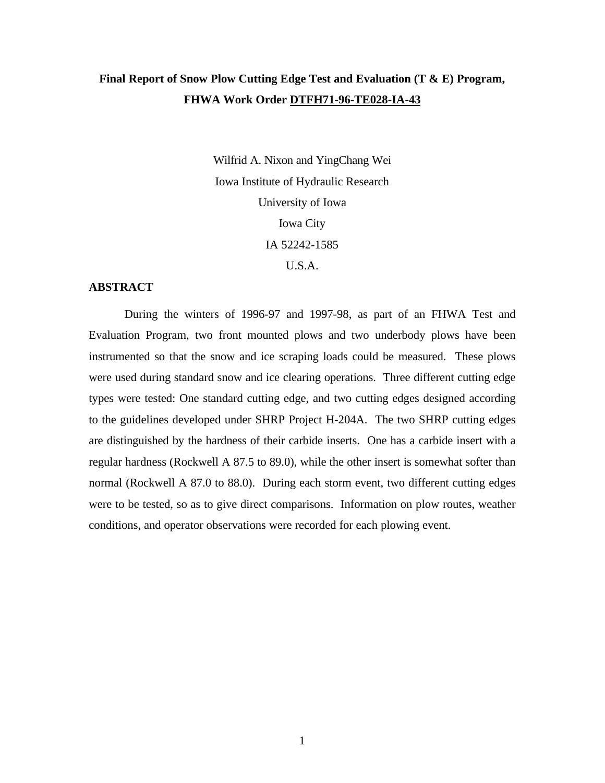# **Final Report of Snow Plow Cutting Edge Test and Evaluation (T & E) Program, FHWA Work Order DTFH71-96-TE028-IA-43**

Wilfrid A. Nixon and YingChang Wei Iowa Institute of Hydraulic Research University of Iowa Iowa City IA 52242-1585 U.S.A.

## **ABSTRACT**

During the winters of 1996-97 and 1997-98, as part of an FHWA Test and Evaluation Program, two front mounted plows and two underbody plows have been instrumented so that the snow and ice scraping loads could be measured. These plows were used during standard snow and ice clearing operations. Three different cutting edge types were tested: One standard cutting edge, and two cutting edges designed according to the guidelines developed under SHRP Project H-204A. The two SHRP cutting edges are distinguished by the hardness of their carbide inserts. One has a carbide insert with a regular hardness (Rockwell A 87.5 to 89.0), while the other insert is somewhat softer than normal (Rockwell A 87.0 to 88.0). During each storm event, two different cutting edges were to be tested, so as to give direct comparisons. Information on plow routes, weather conditions, and operator observations were recorded for each plowing event.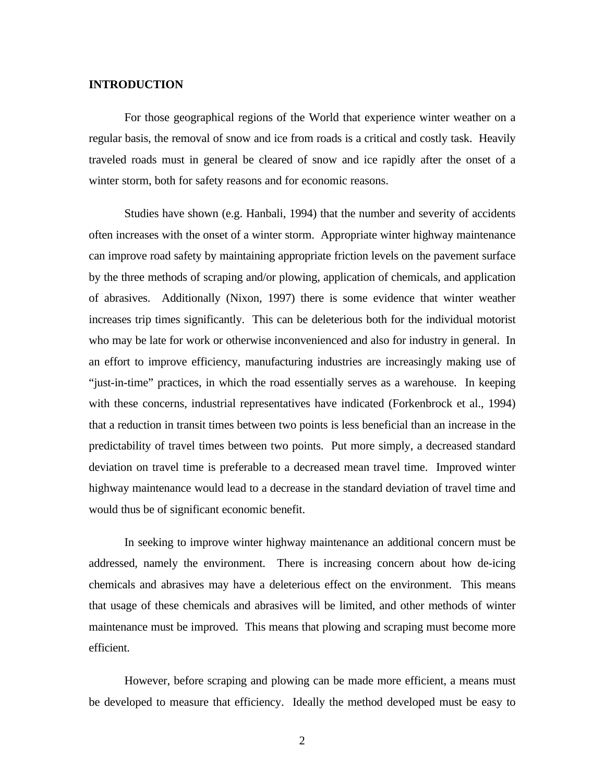## **INTRODUCTION**

For those geographical regions of the World that experience winter weather on a regular basis, the removal of snow and ice from roads is a critical and costly task. Heavily traveled roads must in general be cleared of snow and ice rapidly after the onset of a winter storm, both for safety reasons and for economic reasons.

Studies have shown (e.g. Hanbali, 1994) that the number and severity of accidents often increases with the onset of a winter storm. Appropriate winter highway maintenance can improve road safety by maintaining appropriate friction levels on the pavement surface by the three methods of scraping and/or plowing, application of chemicals, and application of abrasives. Additionally (Nixon, 1997) there is some evidence that winter weather increases trip times significantly. This can be deleterious both for the individual motorist who may be late for work or otherwise inconvenienced and also for industry in general. In an effort to improve efficiency, manufacturing industries are increasingly making use of "just-in-time" practices, in which the road essentially serves as a warehouse. In keeping with these concerns, industrial representatives have indicated (Forkenbrock et al., 1994) that a reduction in transit times between two points is less beneficial than an increase in the predictability of travel times between two points. Put more simply, a decreased standard deviation on travel time is preferable to a decreased mean travel time. Improved winter highway maintenance would lead to a decrease in the standard deviation of travel time and would thus be of significant economic benefit.

In seeking to improve winter highway maintenance an additional concern must be addressed, namely the environment. There is increasing concern about how de-icing chemicals and abrasives may have a deleterious effect on the environment. This means that usage of these chemicals and abrasives will be limited, and other methods of winter maintenance must be improved. This means that plowing and scraping must become more efficient.

However, before scraping and plowing can be made more efficient, a means must be developed to measure that efficiency. Ideally the method developed must be easy to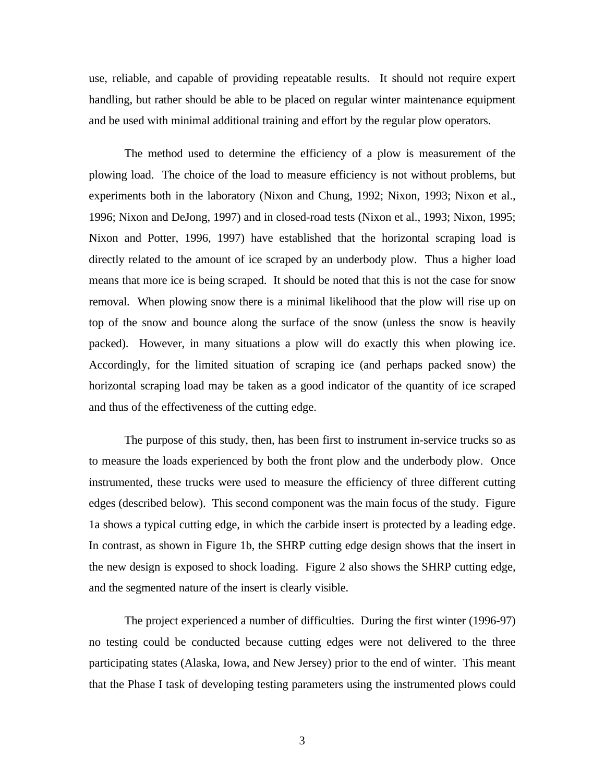use, reliable, and capable of providing repeatable results. It should not require expert handling, but rather should be able to be placed on regular winter maintenance equipment and be used with minimal additional training and effort by the regular plow operators.

The method used to determine the efficiency of a plow is measurement of the plowing load. The choice of the load to measure efficiency is not without problems, but experiments both in the laboratory (Nixon and Chung, 1992; Nixon, 1993; Nixon et al., 1996; Nixon and DeJong, 1997) and in closed-road tests (Nixon et al., 1993; Nixon, 1995; Nixon and Potter, 1996, 1997) have established that the horizontal scraping load is directly related to the amount of ice scraped by an underbody plow. Thus a higher load means that more ice is being scraped. It should be noted that this is not the case for snow removal. When plowing snow there is a minimal likelihood that the plow will rise up on top of the snow and bounce along the surface of the snow (unless the snow is heavily packed). However, in many situations a plow will do exactly this when plowing ice. Accordingly, for the limited situation of scraping ice (and perhaps packed snow) the horizontal scraping load may be taken as a good indicator of the quantity of ice scraped and thus of the effectiveness of the cutting edge.

The purpose of this study, then, has been first to instrument in-service trucks so as to measure the loads experienced by both the front plow and the underbody plow. Once instrumented, these trucks were used to measure the efficiency of three different cutting edges (described below). This second component was the main focus of the study. Figure 1a shows a typical cutting edge, in which the carbide insert is protected by a leading edge. In contrast, as shown in Figure 1b, the SHRP cutting edge design shows that the insert in the new design is exposed to shock loading. Figure 2 also shows the SHRP cutting edge, and the segmented nature of the insert is clearly visible.

The project experienced a number of difficulties. During the first winter (1996-97) no testing could be conducted because cutting edges were not delivered to the three participating states (Alaska, Iowa, and New Jersey) prior to the end of winter. This meant that the Phase I task of developing testing parameters using the instrumented plows could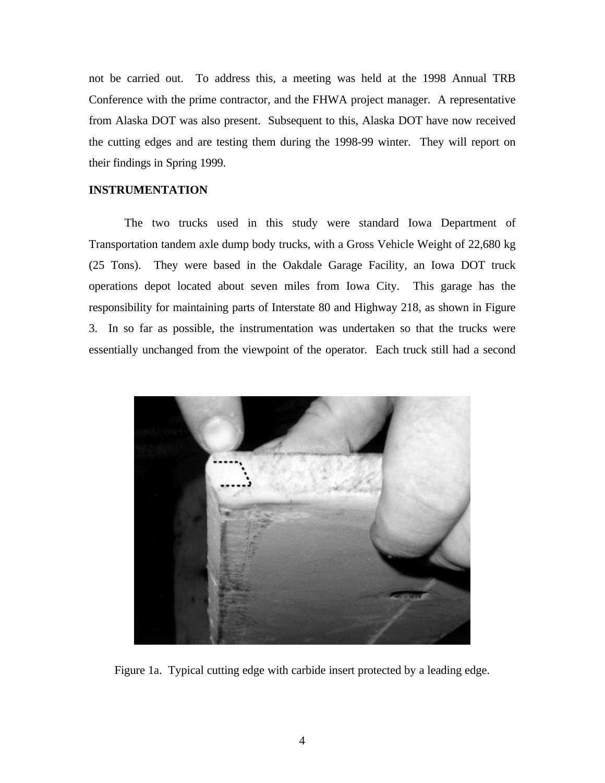not be carried out. To address this, a meeting was held at the 1998 Annual TRB Conference with the prime contractor, and the FHWA project manager. A representative from Alaska DOT was also present. Subsequent to this, Alaska DOT have now received the cutting edges and are testing them during the 1998-99 winter. They will report on their findings in Spring 1999.

# **INSTRUMENTATION**

The two trucks used in this study were standard Iowa Department of Transportation tandem axle dump body trucks, with a Gross Vehicle Weight of 22,680 kg (25 Tons). They were based in the Oakdale Garage Facility, an Iowa DOT truck operations depot located about seven miles from Iowa City. This garage has the responsibility for maintaining parts of Interstate 80 and Highway 218, as shown in Figure 3. In so far as possible, the instrumentation was undertaken so that the trucks were essentially unchanged from the viewpoint of the operator. Each truck still had a second



Figure 1a. Typical cutting edge with carbide insert protected by a leading edge.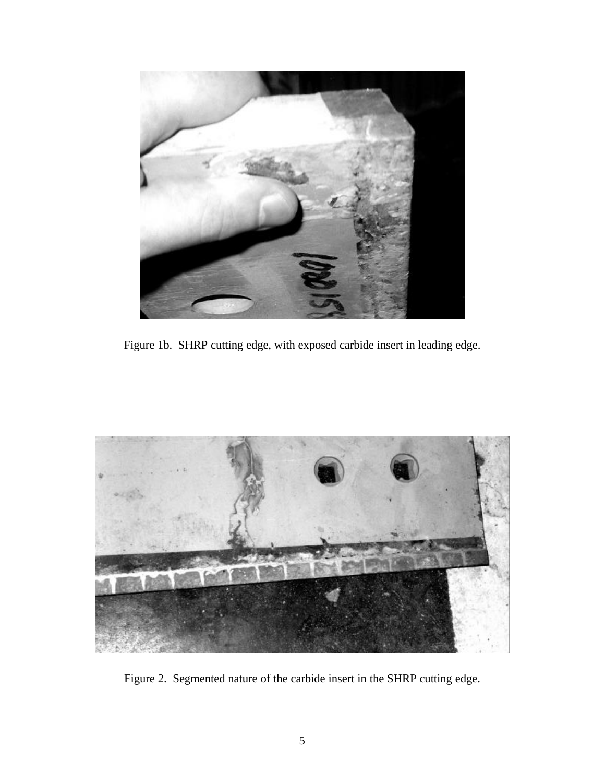

Figure 1b. SHRP cutting edge, with exposed carbide insert in leading edge.



Figure 2. Segmented nature of the carbide insert in the SHRP cutting edge.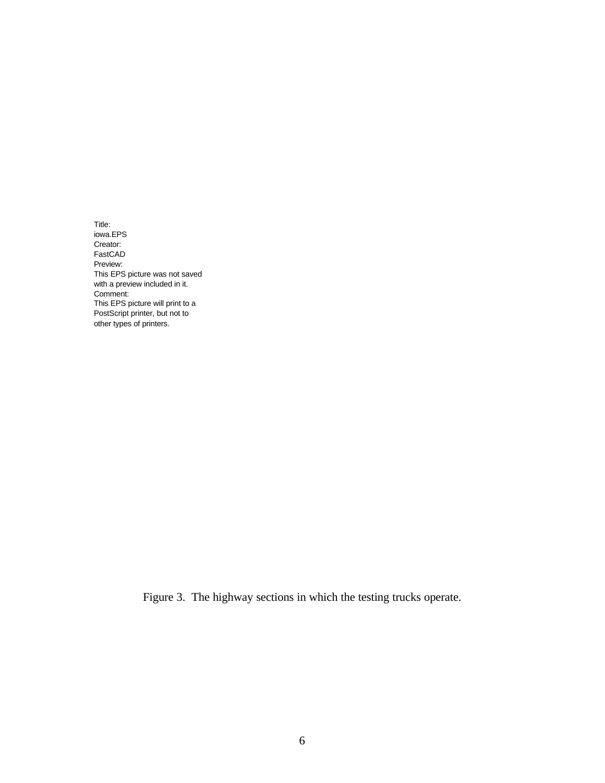Title: iowa.EPS Creator: FastCAD Preview: This EPS picture was not saved with a preview included in it. Comment: This EPS picture will print to a PostScript printer, but not to other types of printers.

Figure 3. The highway sections in which the testing trucks operate.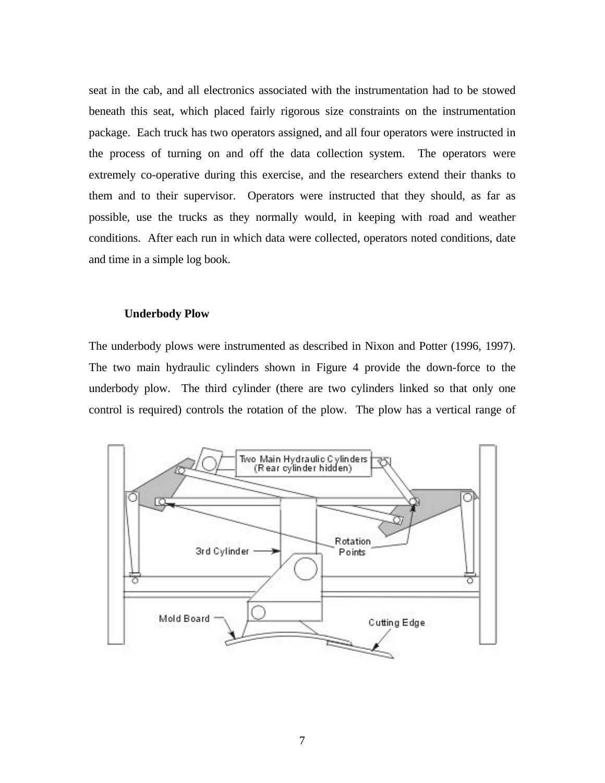seat in the cab, and all electronics associated with the instrumentation had to be stowed beneath this seat, which placed fairly rigorous size constraints on the instrumentation package. Each truck has two operators assigned, and all four operators were instructed in the process of turning on and off the data collection system. The operators were extremely co-operative during this exercise, and the researchers extend their thanks to them and to their supervisor. Operators were instructed that they should, as far as possible, use the trucks as they normally would, in keeping with road and weather conditions. After each run in which data were collected, operators noted conditions, date and time in a simple log book.

#### **Underbody Plow**

The underbody plows were instrumented as described in Nixon and Potter (1996, 1997). The two main hydraulic cylinders shown in Figure 4 provide the down-force to the underbody plow. The third cylinder (there are two cylinders linked so that only one control is required) controls the rotation of the plow. The plow has a vertical range of

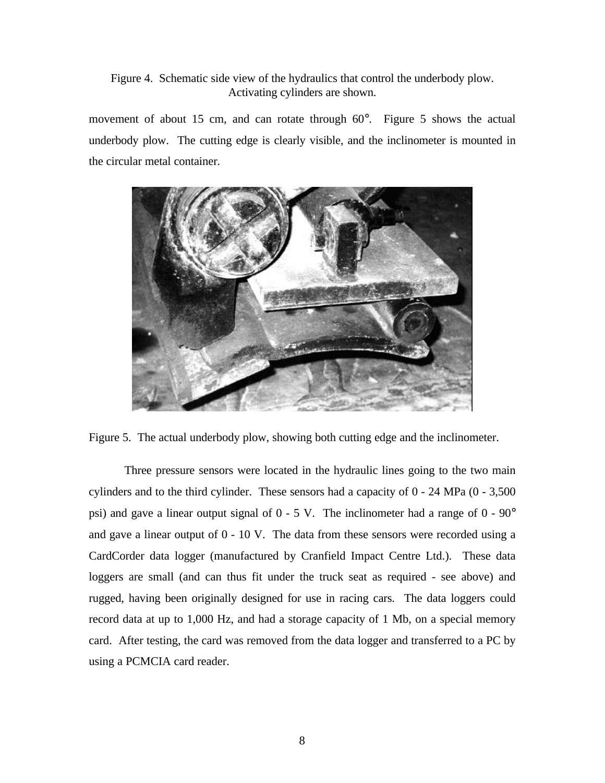Figure 4. Schematic side view of the hydraulics that control the underbody plow. Activating cylinders are shown.

movement of about 15 cm, and can rotate through 60°. Figure 5 shows the actual underbody plow. The cutting edge is clearly visible, and the inclinometer is mounted in the circular metal container.



Figure 5. The actual underbody plow, showing both cutting edge and the inclinometer.

Three pressure sensors were located in the hydraulic lines going to the two main cylinders and to the third cylinder. These sensors had a capacity of 0 - 24 MPa (0 - 3,500 psi) and gave a linear output signal of  $0 - 5$  V. The inclinometer had a range of  $0 - 90^\circ$ and gave a linear output of 0 - 10 V. The data from these sensors were recorded using a CardCorder data logger (manufactured by Cranfield Impact Centre Ltd.). These data loggers are small (and can thus fit under the truck seat as required - see above) and rugged, having been originally designed for use in racing cars. The data loggers could record data at up to 1,000 Hz, and had a storage capacity of 1 Mb, on a special memory card. After testing, the card was removed from the data logger and transferred to a PC by using a PCMCIA card reader.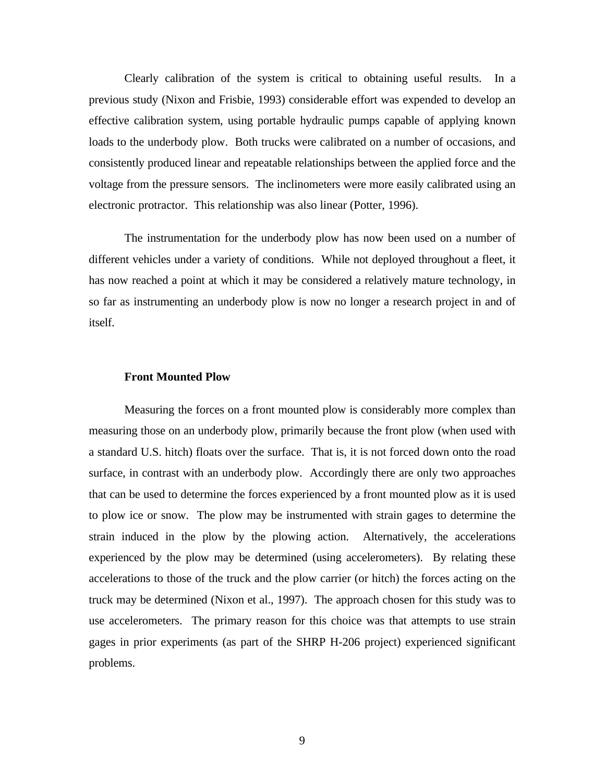Clearly calibration of the system is critical to obtaining useful results. In a previous study (Nixon and Frisbie, 1993) considerable effort was expended to develop an effective calibration system, using portable hydraulic pumps capable of applying known loads to the underbody plow. Both trucks were calibrated on a number of occasions, and consistently produced linear and repeatable relationships between the applied force and the voltage from the pressure sensors. The inclinometers were more easily calibrated using an electronic protractor. This relationship was also linear (Potter, 1996).

The instrumentation for the underbody plow has now been used on a number of different vehicles under a variety of conditions. While not deployed throughout a fleet, it has now reached a point at which it may be considered a relatively mature technology, in so far as instrumenting an underbody plow is now no longer a research project in and of itself.

#### **Front Mounted Plow**

Measuring the forces on a front mounted plow is considerably more complex than measuring those on an underbody plow, primarily because the front plow (when used with a standard U.S. hitch) floats over the surface. That is, it is not forced down onto the road surface, in contrast with an underbody plow. Accordingly there are only two approaches that can be used to determine the forces experienced by a front mounted plow as it is used to plow ice or snow. The plow may be instrumented with strain gages to determine the strain induced in the plow by the plowing action. Alternatively, the accelerations experienced by the plow may be determined (using accelerometers). By relating these accelerations to those of the truck and the plow carrier (or hitch) the forces acting on the truck may be determined (Nixon et al., 1997). The approach chosen for this study was to use accelerometers. The primary reason for this choice was that attempts to use strain gages in prior experiments (as part of the SHRP H-206 project) experienced significant problems.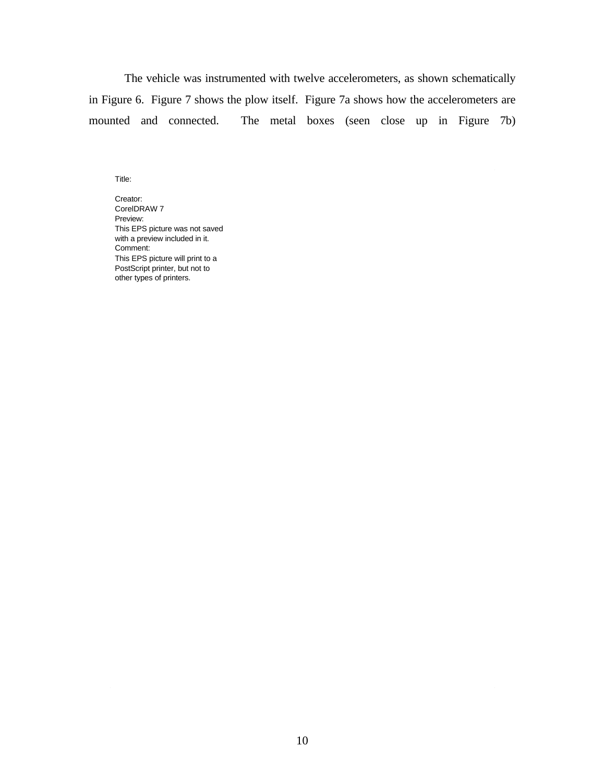The vehicle was instrumented with twelve accelerometers, as shown schematically in Figure 6. Figure 7 shows the plow itself. Figure 7a shows how the accelerometers are mounted and connected. The metal boxes (seen close up in Figure 7b)

Creator: CorelDRAW 7 Preview: This EPS picture was not saved with a preview included in it. Comment: This EPS picture will print to a PostScript printer, but not to other types of printers.

Title: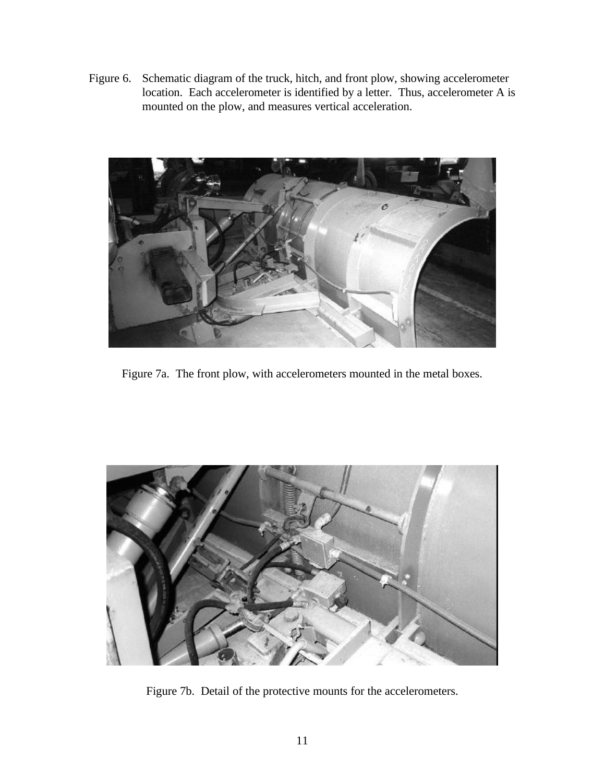Figure 6. Schematic diagram of the truck, hitch, and front plow, showing accelerometer location. Each accelerometer is identified by a letter. Thus, accelerometer A is mounted on the plow, and measures vertical acceleration.



Figure 7a. The front plow, with accelerometers mounted in the metal boxes.



Figure 7b. Detail of the protective mounts for the accelerometers.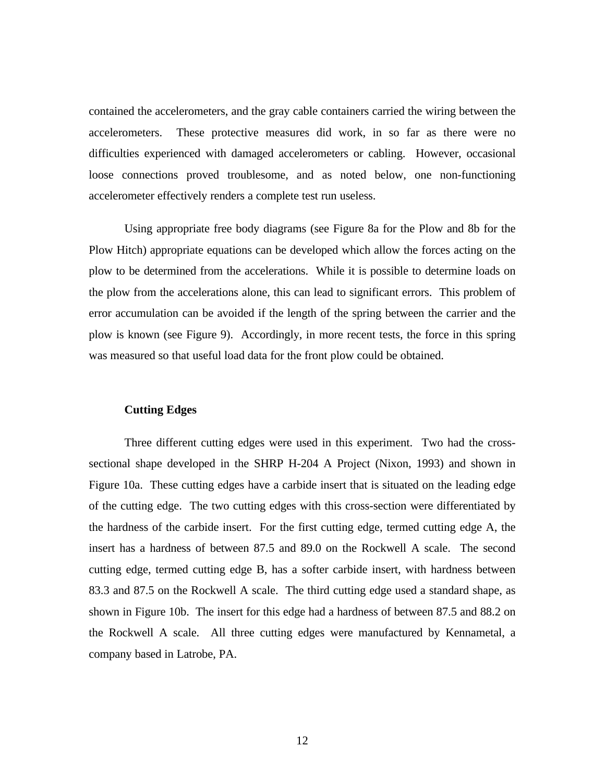contained the accelerometers, and the gray cable containers carried the wiring between the accelerometers. These protective measures did work, in so far as there were no difficulties experienced with damaged accelerometers or cabling. However, occasional loose connections proved troublesome, and as noted below, one non-functioning accelerometer effectively renders a complete test run useless.

Using appropriate free body diagrams (see Figure 8a for the Plow and 8b for the Plow Hitch) appropriate equations can be developed which allow the forces acting on the plow to be determined from the accelerations. While it is possible to determine loads on the plow from the accelerations alone, this can lead to significant errors. This problem of error accumulation can be avoided if the length of the spring between the carrier and the plow is known (see Figure 9). Accordingly, in more recent tests, the force in this spring was measured so that useful load data for the front plow could be obtained.

# **Cutting Edges**

Three different cutting edges were used in this experiment. Two had the crosssectional shape developed in the SHRP H-204 A Project (Nixon, 1993) and shown in Figure 10a. These cutting edges have a carbide insert that is situated on the leading edge of the cutting edge. The two cutting edges with this cross-section were differentiated by the hardness of the carbide insert. For the first cutting edge, termed cutting edge A, the insert has a hardness of between 87.5 and 89.0 on the Rockwell A scale. The second cutting edge, termed cutting edge B, has a softer carbide insert, with hardness between 83.3 and 87.5 on the Rockwell A scale. The third cutting edge used a standard shape, as shown in Figure 10b. The insert for this edge had a hardness of between 87.5 and 88.2 on the Rockwell A scale. All three cutting edges were manufactured by Kennametal, a company based in Latrobe, PA.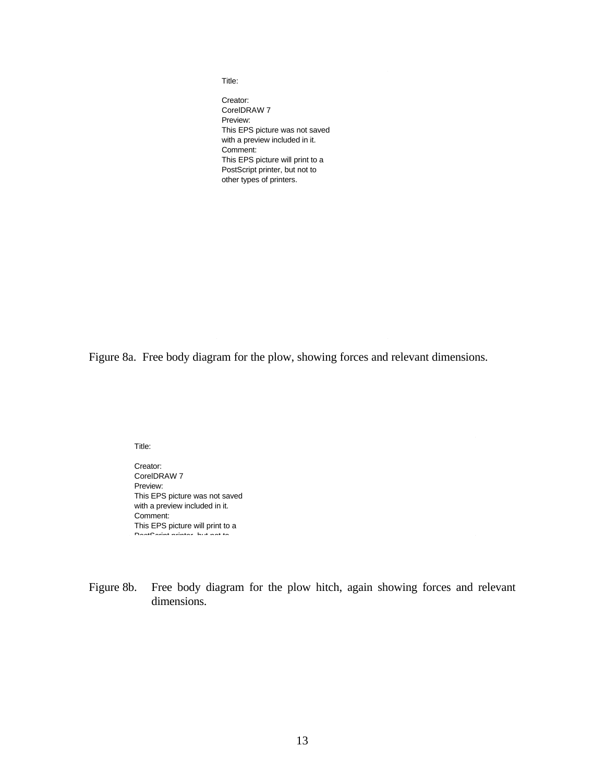

Figure 8a. Free body diagram for the plow, showing forces and relevant dimensions.

| Title:                                                                                                                                                                                          |  |  |
|-------------------------------------------------------------------------------------------------------------------------------------------------------------------------------------------------|--|--|
| Creator:<br>CorelDRAW 7<br>Preview:<br>This EPS picture was not saved<br>with a preview included in it.<br>Comment:<br>This EPS picture will print to a<br>$D$ aat $C$ arint naintan but nat ta |  |  |

Figure 8b. Free body diagram for the plow hitch, again showing forces and relevant dimensions.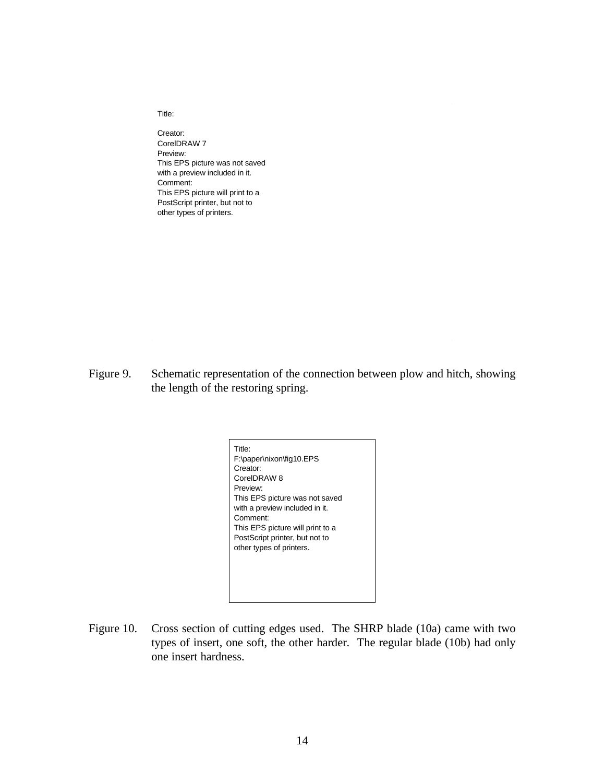

Figure 9. Schematic representation of the connection between plow and hitch, showing the length of the restoring spring.

Figure 10. Cross section of cutting edges used. The SHRP blade (10a) came with two types of insert, one soft, the other harder. The regular blade (10b) had only one insert hardness.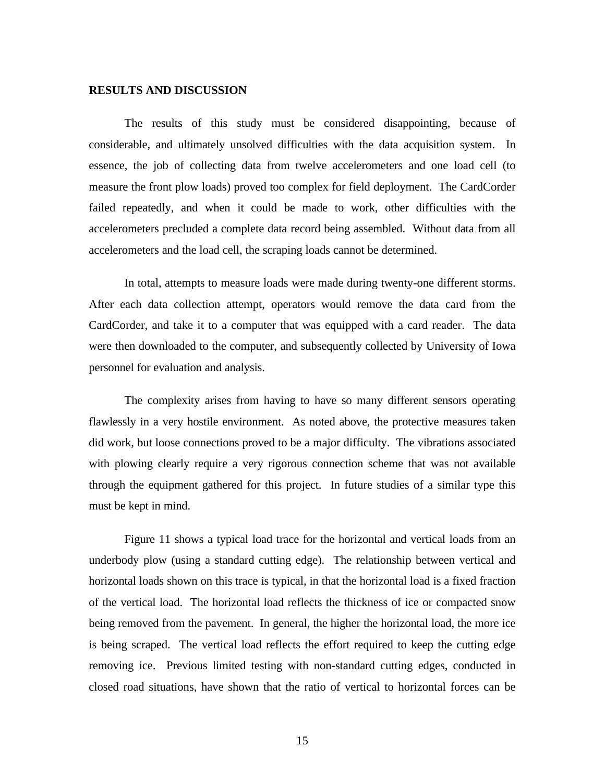### **RESULTS AND DISCUSSION**

The results of this study must be considered disappointing, because of considerable, and ultimately unsolved difficulties with the data acquisition system. In essence, the job of collecting data from twelve accelerometers and one load cell (to measure the front plow loads) proved too complex for field deployment. The CardCorder failed repeatedly, and when it could be made to work, other difficulties with the accelerometers precluded a complete data record being assembled. Without data from all accelerometers and the load cell, the scraping loads cannot be determined.

In total, attempts to measure loads were made during twenty-one different storms. After each data collection attempt, operators would remove the data card from the CardCorder, and take it to a computer that was equipped with a card reader. The data were then downloaded to the computer, and subsequently collected by University of Iowa personnel for evaluation and analysis.

The complexity arises from having to have so many different sensors operating flawlessly in a very hostile environment. As noted above, the protective measures taken did work, but loose connections proved to be a major difficulty. The vibrations associated with plowing clearly require a very rigorous connection scheme that was not available through the equipment gathered for this project. In future studies of a similar type this must be kept in mind.

Figure 11 shows a typical load trace for the horizontal and vertical loads from an underbody plow (using a standard cutting edge). The relationship between vertical and horizontal loads shown on this trace is typical, in that the horizontal load is a fixed fraction of the vertical load. The horizontal load reflects the thickness of ice or compacted snow being removed from the pavement. In general, the higher the horizontal load, the more ice is being scraped. The vertical load reflects the effort required to keep the cutting edge removing ice. Previous limited testing with non-standard cutting edges, conducted in closed road situations, have shown that the ratio of vertical to horizontal forces can be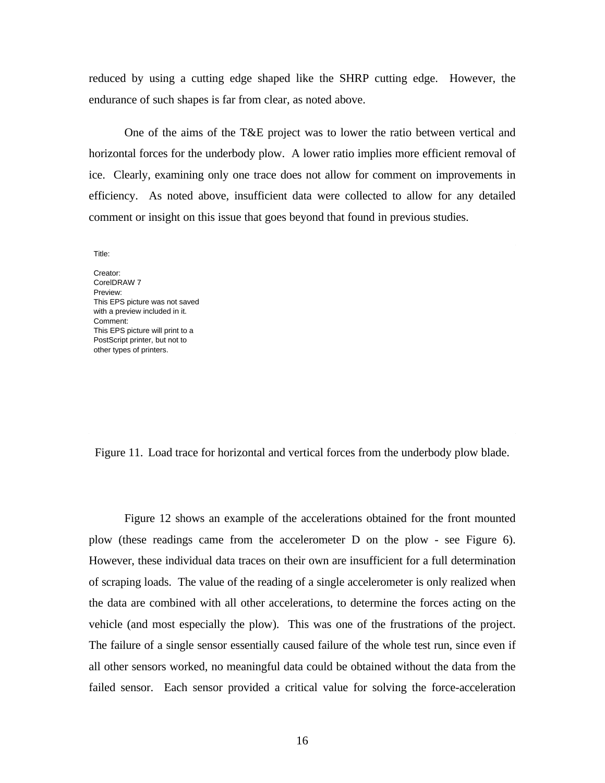reduced by using a cutting edge shaped like the SHRP cutting edge. However, the endurance of such shapes is far from clear, as noted above.

One of the aims of the T&E project was to lower the ratio between vertical and horizontal forces for the underbody plow. A lower ratio implies more efficient removal of ice. Clearly, examining only one trace does not allow for comment on improvements in efficiency. As noted above, insufficient data were collected to allow for any detailed comment or insight on this issue that goes beyond that found in previous studies.

Title:

Creator: CorelDRAW 7 Preview: This EPS picture was not saved with a preview included in it. Comment: This EPS picture will print to a PostScript printer, but not to other types of printers.

Figure 11. Load trace for horizontal and vertical forces from the underbody plow blade.

Figure 12 shows an example of the accelerations obtained for the front mounted plow (these readings came from the accelerometer D on the plow - see Figure 6). However, these individual data traces on their own are insufficient for a full determination of scraping loads. The value of the reading of a single accelerometer is only realized when the data are combined with all other accelerations, to determine the forces acting on the vehicle (and most especially the plow). This was one of the frustrations of the project. The failure of a single sensor essentially caused failure of the whole test run, since even if all other sensors worked, no meaningful data could be obtained without the data from the failed sensor. Each sensor provided a critical value for solving the force-acceleration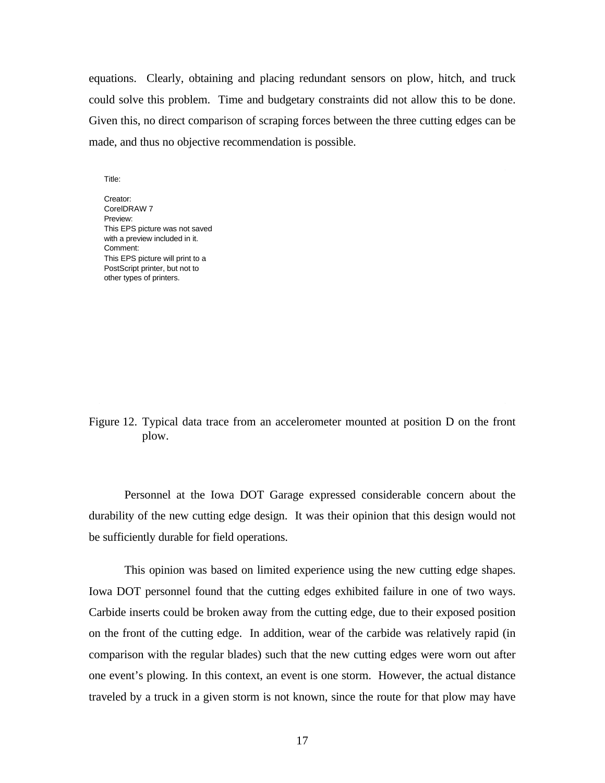equations. Clearly, obtaining and placing redundant sensors on plow, hitch, and truck could solve this problem. Time and budgetary constraints did not allow this to be done. Given this, no direct comparison of scraping forces between the three cutting edges can be made, and thus no objective recommendation is possible.

Title:

Creator: CorelDRAW 7 Preview: This EPS picture was not saved with a preview included in it. Comment: This EPS picture will print to a PostScript printer, but not to other types of printers.

Figure 12. Typical data trace from an accelerometer mounted at position D on the front plow.

Personnel at the Iowa DOT Garage expressed considerable concern about the durability of the new cutting edge design. It was their opinion that this design would not be sufficiently durable for field operations.

This opinion was based on limited experience using the new cutting edge shapes. Iowa DOT personnel found that the cutting edges exhibited failure in one of two ways. Carbide inserts could be broken away from the cutting edge, due to their exposed position on the front of the cutting edge. In addition, wear of the carbide was relatively rapid (in comparison with the regular blades) such that the new cutting edges were worn out after one event's plowing. In this context, an event is one storm. However, the actual distance traveled by a truck in a given storm is not known, since the route for that plow may have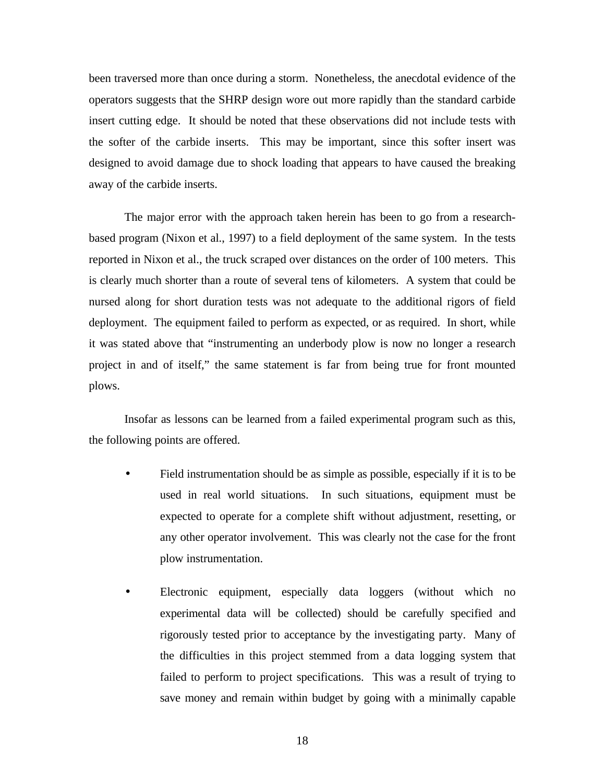been traversed more than once during a storm. Nonetheless, the anecdotal evidence of the operators suggests that the SHRP design wore out more rapidly than the standard carbide insert cutting edge. It should be noted that these observations did not include tests with the softer of the carbide inserts. This may be important, since this softer insert was designed to avoid damage due to shock loading that appears to have caused the breaking away of the carbide inserts.

The major error with the approach taken herein has been to go from a researchbased program (Nixon et al., 1997) to a field deployment of the same system. In the tests reported in Nixon et al., the truck scraped over distances on the order of 100 meters. This is clearly much shorter than a route of several tens of kilometers. A system that could be nursed along for short duration tests was not adequate to the additional rigors of field deployment. The equipment failed to perform as expected, or as required. In short, while it was stated above that "instrumenting an underbody plow is now no longer a research project in and of itself," the same statement is far from being true for front mounted plows.

Insofar as lessons can be learned from a failed experimental program such as this, the following points are offered.

- Field instrumentation should be as simple as possible, especially if it is to be used in real world situations. In such situations, equipment must be expected to operate for a complete shift without adjustment, resetting, or any other operator involvement. This was clearly not the case for the front plow instrumentation.
- Electronic equipment, especially data loggers (without which no experimental data will be collected) should be carefully specified and rigorously tested prior to acceptance by the investigating party. Many of the difficulties in this project stemmed from a data logging system that failed to perform to project specifications. This was a result of trying to save money and remain within budget by going with a minimally capable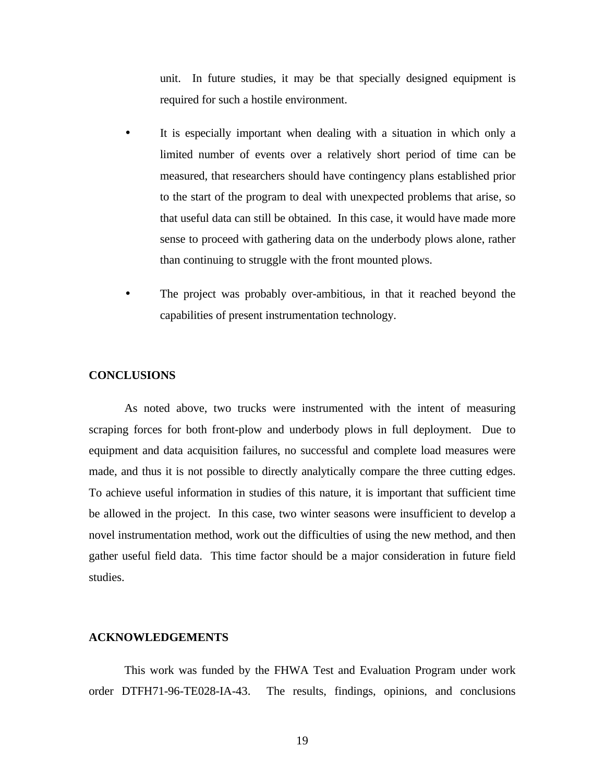unit. In future studies, it may be that specially designed equipment is required for such a hostile environment.

- It is especially important when dealing with a situation in which only a limited number of events over a relatively short period of time can be measured, that researchers should have contingency plans established prior to the start of the program to deal with unexpected problems that arise, so that useful data can still be obtained. In this case, it would have made more sense to proceed with gathering data on the underbody plows alone, rather than continuing to struggle with the front mounted plows.
- The project was probably over-ambitious, in that it reached beyond the capabilities of present instrumentation technology.

## **CONCLUSIONS**

As noted above, two trucks were instrumented with the intent of measuring scraping forces for both front-plow and underbody plows in full deployment. Due to equipment and data acquisition failures, no successful and complete load measures were made, and thus it is not possible to directly analytically compare the three cutting edges. To achieve useful information in studies of this nature, it is important that sufficient time be allowed in the project. In this case, two winter seasons were insufficient to develop a novel instrumentation method, work out the difficulties of using the new method, and then gather useful field data. This time factor should be a major consideration in future field studies.

## **ACKNOWLEDGEMENTS**

This work was funded by the FHWA Test and Evaluation Program under work order DTFH71-96-TE028-IA-43. The results, findings, opinions, and conclusions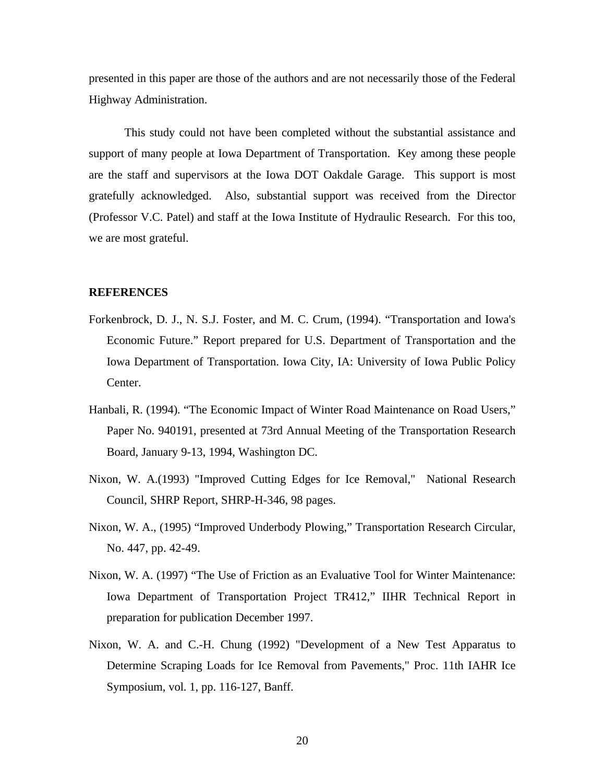presented in this paper are those of the authors and are not necessarily those of the Federal Highway Administration.

This study could not have been completed without the substantial assistance and support of many people at Iowa Department of Transportation. Key among these people are the staff and supervisors at the Iowa DOT Oakdale Garage. This support is most gratefully acknowledged. Also, substantial support was received from the Director (Professor V.C. Patel) and staff at the Iowa Institute of Hydraulic Research. For this too, we are most grateful.

#### **REFERENCES**

- Forkenbrock, D. J., N. S.J. Foster, and M. C. Crum, (1994). "Transportation and Iowa's Economic Future." Report prepared for U.S. Department of Transportation and the Iowa Department of Transportation. Iowa City, IA: University of Iowa Public Policy Center.
- Hanbali, R. (1994). "The Economic Impact of Winter Road Maintenance on Road Users," Paper No. 940191, presented at 73rd Annual Meeting of the Transportation Research Board, January 9-13, 1994, Washington DC.
- Nixon, W. A.(1993) "Improved Cutting Edges for Ice Removal," National Research Council, SHRP Report, SHRP-H-346, 98 pages.
- Nixon, W. A., (1995) "Improved Underbody Plowing," Transportation Research Circular, No. 447, pp. 42-49.
- Nixon, W. A. (1997) "The Use of Friction as an Evaluative Tool for Winter Maintenance: Iowa Department of Transportation Project TR412," IIHR Technical Report in preparation for publication December 1997.
- Nixon, W. A. and C.-H. Chung (1992) "Development of a New Test Apparatus to Determine Scraping Loads for Ice Removal from Pavements," Proc. 11th IAHR Ice Symposium, vol. 1, pp. 116-127, Banff.